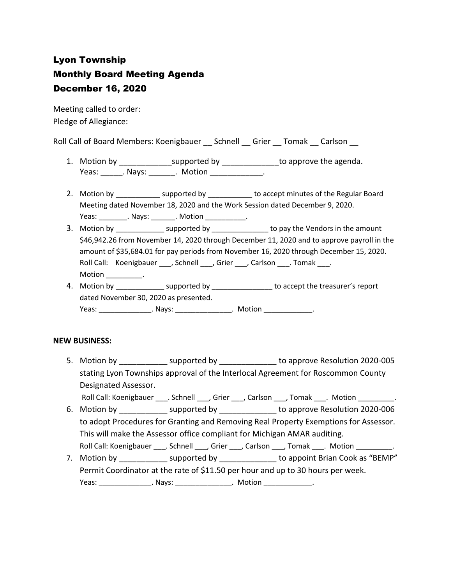# Lyon Township Monthly Board Meeting Agenda December 16, 2020

Meeting called to order: Pledge of Allegiance:

Roll Call of Board Members: Koenigbauer \_\_ Schnell \_\_ Grier \_\_ Tomak \_\_ Carlson \_\_

- 1. Motion by \_\_\_\_\_\_\_\_\_\_\_\_\_\_\_\_supported by \_\_\_\_\_\_\_\_\_\_\_\_\_\_\_\_to approve the agenda. Yeas: Nays: Notion Reas: Notion
- 2. Motion by \_\_\_\_\_\_\_\_\_\_\_\_\_ supported by \_\_\_\_\_\_\_\_\_\_\_ to accept minutes of the Regular Board Meeting dated November 18, 2020 and the Work Session dated December 9, 2020. Yeas: \_\_\_\_\_\_\_\_\_. Nays: \_\_\_\_\_\_\_. Motion \_\_\_\_\_\_\_\_\_\_\_.
- 3. Motion by \_\_\_\_\_\_\_\_\_\_\_\_\_\_\_ supported by \_\_\_\_\_\_\_\_\_\_\_\_\_\_\_\_ to pay the Vendors in the amount \$46,942.26 from November 14, 2020 through December 11, 2020 and to approve payroll in the amount of \$35,684.01 for pay periods from November 16, 2020 through December 15, 2020. Roll Call: Koenigbauer \_\_\_, Schnell \_\_\_, Grier \_\_\_, Carlson \_\_\_. Tomak \_\_\_. Motion \_\_\_\_\_\_\_\_\_.
- 4. Motion by example in the supported by to accept the treasurer's report dated November 30, 2020 as presented. Yeas: \_\_\_\_\_\_\_\_\_\_\_\_\_\_\_\_\_. Nays: \_\_\_\_\_\_\_\_\_\_\_\_\_\_\_\_\_\_\_\_\_. Motion \_\_\_\_\_\_\_\_\_\_\_.

### **NEW BUSINESS:**

5. Motion by \_\_\_\_\_\_\_\_\_\_\_ supported by \_\_\_\_\_\_\_\_\_\_\_\_\_ to approve Resolution 2020-005 stating Lyon Townships approval of the Interlocal Agreement for Roscommon County Designated Assessor.

Roll Call: Koenigbauer \_\_\_\_. Schnell \_\_\_, Grier \_\_\_, Carlson \_\_\_, Tomak \_\_\_. Motion \_\_\_\_\_\_\_\_\_.

- 6. Motion by **Example 2020-006** supported by **Example 2010** to approve Resolution 2020-006 to adopt Procedures for Granting and Removing Real Property Exemptions for Assessor. This will make the Assessor office compliant for Michigan AMAR auditing. Roll Call: Koenigbauer \_\_\_\_. Schnell \_\_\_, Grier \_\_\_, Carlson \_\_\_, Tomak \_\_\_. Motion \_\_\_\_\_\_\_\_\_.
- 7. Motion by **Example 3** supported by **Example 2** to appoint Brian Cook as "BEMP" Permit Coordinator at the rate of \$11.50 per hour and up to 30 hours per week. Yeas: \_\_\_\_\_\_\_\_\_\_\_\_\_\_\_\_\_. Nays: \_\_\_\_\_\_\_\_\_\_\_\_\_\_\_\_\_. Motion \_\_\_\_\_\_\_\_\_\_\_\_\_\_\_.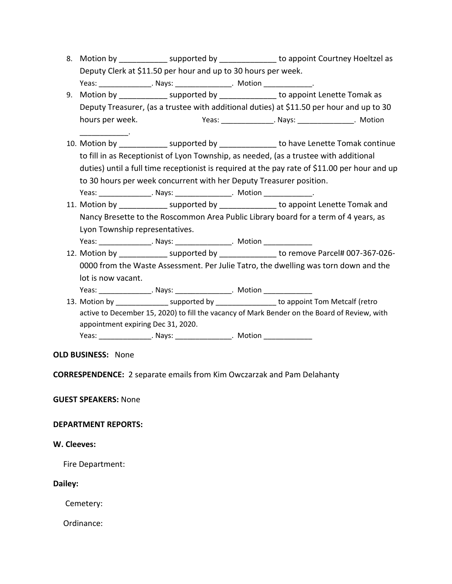8. Motion by supported by to appoint Courtney Hoeltzel as Deputy Clerk at \$11.50 per hour and up to 30 hours per week. Yeas: \_\_\_\_\_\_\_\_\_\_\_\_\_\_\_\_\_. Nays: \_\_\_\_\_\_\_\_\_\_\_\_\_\_\_\_. Motion \_\_\_\_\_\_\_\_\_\_\_\_\_\_.

9. Motion by \_\_\_\_\_\_\_\_\_\_\_\_\_ supported by \_\_\_\_\_\_\_\_\_\_\_\_\_\_\_ to appoint Lenette Tomak as Deputy Treasurer, (as a trustee with additional duties) at \$11.50 per hour and up to 30 hours per week. Yeas: \_\_\_\_\_\_\_\_\_\_\_\_\_. Nays: \_\_\_\_\_\_\_\_\_\_\_\_\_\_. Motion

- 10. Motion by \_\_\_\_\_\_\_\_\_\_\_ supported by \_\_\_\_\_\_\_\_\_\_\_\_\_ to have Lenette Tomak continue to fill in as Receptionist of Lyon Township, as needed, (as a trustee with additional duties) until a full time receptionist is required at the pay rate of \$11.00 per hour and up to 30 hours per week concurrent with her Deputy Treasurer position. Yeas: \_\_\_\_\_\_\_\_\_\_\_\_\_\_\_\_. Nays: \_\_\_\_\_\_\_\_\_\_\_\_\_\_\_\_. Motion \_\_\_\_\_\_\_\_\_\_\_\_\_\_.
- 11. Motion by \_\_\_\_\_\_\_\_\_\_\_\_ supported by \_\_\_\_\_\_\_\_\_\_\_\_\_\_ to appoint Lenette Tomak and Nancy Bresette to the Roscommon Area Public Library board for a term of 4 years, as Lyon Township representatives. Yeas: \_\_\_\_\_\_\_\_\_\_\_\_\_\_\_\_. Nays: \_\_\_\_\_\_\_\_\_\_\_\_\_\_\_\_\_. Motion \_\_\_\_\_\_\_\_\_\_\_\_\_\_\_\_\_\_\_\_\_\_\_\_
- 12. Motion by example of the supported by to remove Parcel# 007-367-026-0000 from the Waste Assessment. Per Julie Tatro, the dwelling was torn down and the lot is now vacant. Yeas: \_\_\_\_\_\_\_\_\_\_\_\_\_\_\_\_\_. Nays: \_\_\_\_\_\_\_\_\_\_\_\_\_\_\_\_\_. Motion \_\_\_\_\_\_\_\_\_\_\_\_\_\_\_\_\_\_\_\_\_\_\_
- 13. Motion by \_\_\_\_\_\_\_\_\_\_\_\_\_\_\_\_\_ supported by \_\_\_\_\_\_\_\_\_\_\_\_\_\_\_\_\_ to appoint Tom Metcalf (retro active to December 15, 2020) to fill the vacancy of Mark Bender on the Board of Review, with appointment expiring Dec 31, 2020.

Yeas: \_\_\_\_\_\_\_\_\_\_\_\_\_\_\_\_\_. Nays: \_\_\_\_\_\_\_\_\_\_\_\_\_\_\_\_\_\_. Motion \_\_\_\_\_\_\_\_\_\_\_\_\_\_\_\_\_\_\_\_\_\_

### **OLD BUSINESS:** None

\_\_\_\_\_\_\_\_\_\_\_\_.

**CORRESPENDENCE:** 2 separate emails from Kim Owczarzak and Pam Delahanty

### **GUEST SPEAKERS:** None

### **DEPARTMENT REPORTS:**

### **W. Cleeves:**

Fire Department:

#### **Dailey:**

Cemetery:

Ordinance: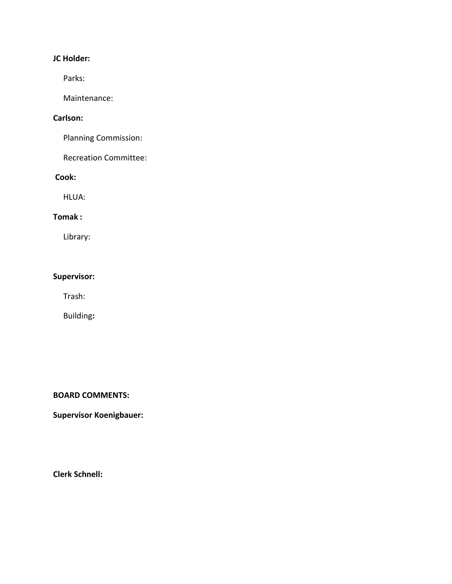# **JC Holder:**

Parks:

Maintenance:

### **Carlson:**

Planning Commission:

Recreation Committee:

### **Cook:**

HLUA:

### **Tomak :**

Library:

## **Supervisor:**

Trash:

Building**:**

### **BOARD COMMENTS:**

**Supervisor Koenigbauer:**

**Clerk Schnell:**